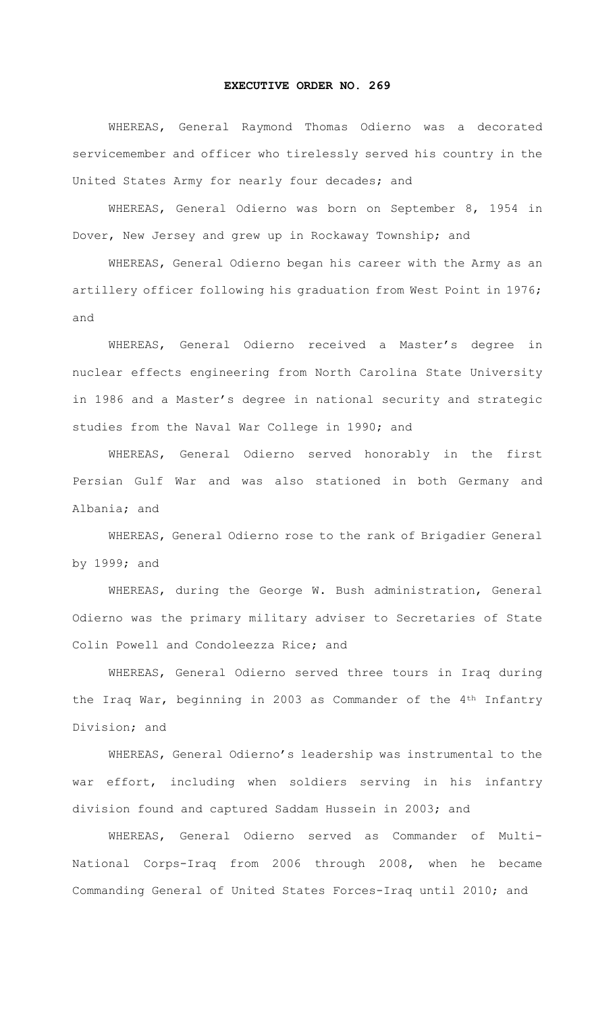## **EXECUTIVE ORDER NO. 269**

WHEREAS, General Raymond Thomas Odierno was a decorated servicemember and officer who tirelessly served his country in the United States Army for nearly four decades; and

WHEREAS, General Odierno was born on September 8, 1954 in Dover, New Jersey and grew up in Rockaway Township; and

WHEREAS, General Odierno began his career with the Army as an artillery officer following his graduation from West Point in 1976; and

WHEREAS, General Odierno received a Master's degree in nuclear effects engineering from North Carolina State University in 1986 and a Master's degree in national security and strategic studies from the Naval War College in 1990; and

WHEREAS, General Odierno served honorably in the first Persian Gulf War and was also stationed in both Germany and Albania; and

WHEREAS, General Odierno rose to the rank of Brigadier General by 1999; and

WHEREAS, during the George W. Bush administration, General Odierno was the primary military adviser to Secretaries of State Colin Powell and Condoleezza Rice; and

WHEREAS, General Odierno served three tours in Iraq during the Iraq War, beginning in 2003 as Commander of the 4th Infantry Division; and

WHEREAS, General Odierno's leadership was instrumental to the war effort, including when soldiers serving in his infantry division found and captured Saddam Hussein in 2003; and

WHEREAS, General Odierno served as Commander of Multi-National Corps-Iraq from 2006 through 2008, when he became Commanding General of United States Forces-Iraq until 2010; and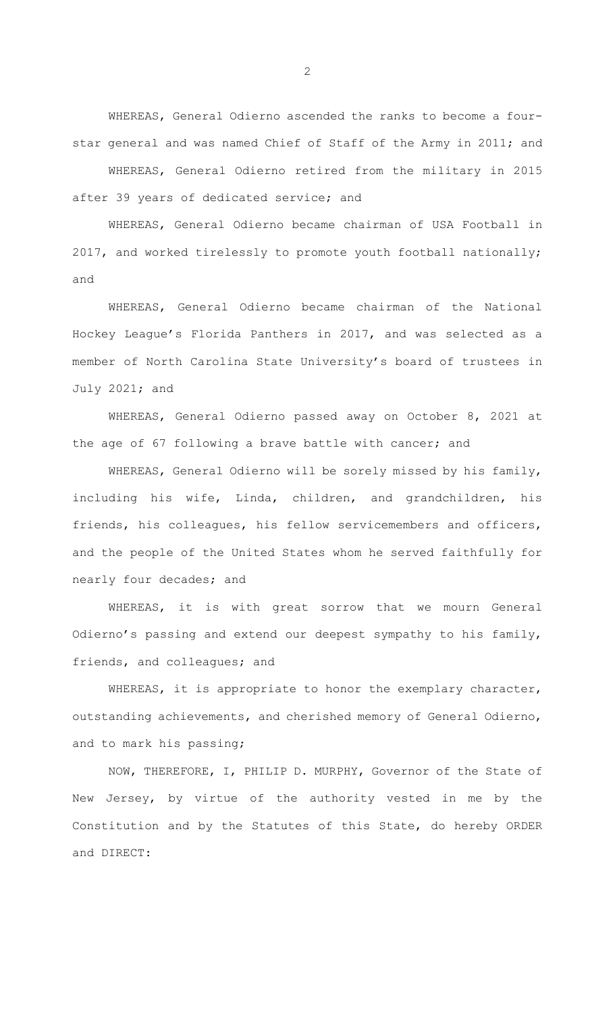WHEREAS, General Odierno ascended the ranks to become a fourstar general and was named Chief of Staff of the Army in 2011; and

WHEREAS, General Odierno retired from the military in 2015 after 39 years of dedicated service; and

WHEREAS, General Odierno became chairman of USA Football in 2017, and worked tirelessly to promote youth football nationally; and

WHEREAS, General Odierno became chairman of the National Hockey League's Florida Panthers in 2017, and was selected as a member of North Carolina State University's board of trustees in July 2021; and

WHEREAS, General Odierno passed away on October 8, 2021 at the age of 67 following a brave battle with cancer; and

WHEREAS, General Odierno will be sorely missed by his family, including his wife, Linda, children, and grandchildren, his friends, his colleagues, his fellow servicemembers and officers, and the people of the United States whom he served faithfully for nearly four decades; and

WHEREAS, it is with great sorrow that we mourn General Odierno's passing and extend our deepest sympathy to his family, friends, and colleagues; and

 WHEREAS, it is appropriate to honor the exemplary character, outstanding achievements, and cherished memory of General Odierno, and to mark his passing;

NOW, THEREFORE, I, PHILIP D. MURPHY, Governor of the State of New Jersey, by virtue of the authority vested in me by the Constitution and by the Statutes of this State, do hereby ORDER and DIRECT:

2